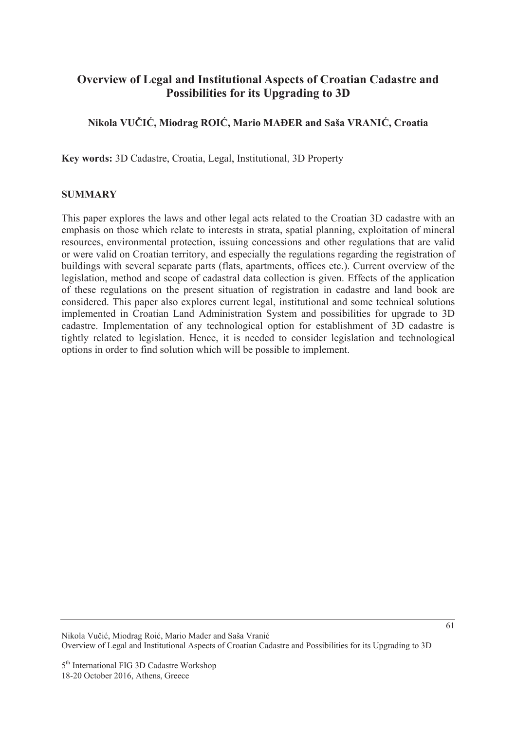# **Overview of Legal and Institutional Aspects of Croatian Cadastre and Possibilities for its Upgrading to 3D**

## **Nikola VUýIû, Miodrag ROIû, Mario MAĈER and Saša VRANIû, Croatia**

**Key words:** 3D Cadastre, Croatia, Legal, Institutional, 3D Property

### **SUMMARY**

This paper explores the laws and other legal acts related to the Croatian 3D cadastre with an emphasis on those which relate to interests in strata, spatial planning, exploitation of mineral resources, environmental protection, issuing concessions and other regulations that are valid or were valid on Croatian territory, and especially the regulations regarding the registration of buildings with several separate parts (flats, apartments, offices etc.). Current overview of the legislation, method and scope of cadastral data collection is given. Effects of the application of these regulations on the present situation of registration in cadastre and land book are considered. This paper also explores current legal, institutional and some technical solutions implemented in Croatian Land Administration System and possibilities for upgrade to 3D cadastre. Implementation of any technological option for establishment of 3D cadastre is tightly related to legislation. Hence, it is needed to consider legislation and technological options in order to find solution which will be possible to implement.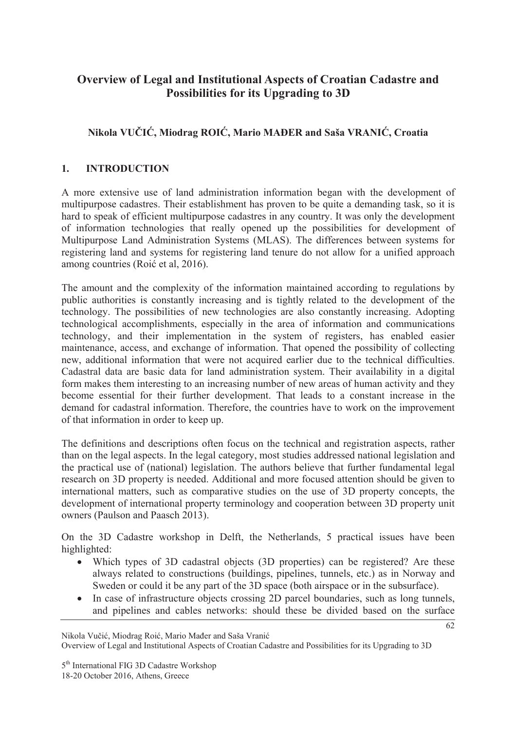# **Overview of Legal and Institutional Aspects of Croatian Cadastre and Possibilities for its Upgrading to 3D**

## **Nikola VUýIû, Miodrag ROIû, Mario MAĈER and Saša VRANIû, Croatia**

## **1. INTRODUCTION**

A more extensive use of land administration information began with the development of multipurpose cadastres. Their establishment has proven to be quite a demanding task, so it is hard to speak of efficient multipurpose cadastres in any country. It was only the development of information technologies that really opened up the possibilities for development of Multipurpose Land Administration Systems (MLAS). The differences between systems for registering land and systems for registering land tenure do not allow for a unified approach among countries (Roić et al. 2016).

The amount and the complexity of the information maintained according to regulations by public authorities is constantly increasing and is tightly related to the development of the technology. The possibilities of new technologies are also constantly increasing. Adopting technological accomplishments, especially in the area of information and communications technology, and their implementation in the system of registers, has enabled easier maintenance, access, and exchange of information. That opened the possibility of collecting new, additional information that were not acquired earlier due to the technical difficulties. Cadastral data are basic data for land administration system. Their availability in a digital form makes them interesting to an increasing number of new areas of human activity and they become essential for their further development. That leads to a constant increase in the demand for cadastral information. Therefore, the countries have to work on the improvement of that information in order to keep up.

The definitions and descriptions often focus on the technical and registration aspects, rather than on the legal aspects. In the legal category, most studies addressed national legislation and the practical use of (national) legislation. The authors believe that further fundamental legal research on 3D property is needed. Additional and more focused attention should be given to international matters, such as comparative studies on the use of 3D property concepts, the development of international property terminology and cooperation between 3D property unit owners (Paulson and Paasch 2013).

On the 3D Cadastre workshop in Delft, the Netherlands, 5 practical issues have been highlighted:

- Which types of 3D cadastral objects (3D properties) can be registered? Are these always related to constructions (buildings, pipelines, tunnels, etc.) as in Norway and Sweden or could it be any part of the 3D space (both airspace or in the subsurface).
- In case of infrastructure objects crossing 2D parcel boundaries, such as long tunnels, and pipelines and cables networks: should these be divided based on the surface

Nikola Vučić, Miodrag Roić, Mario Mađer and Saša Vranić

Overview of Legal and Institutional Aspects of Croatian Cadastre and Possibilities for its Upgrading to 3D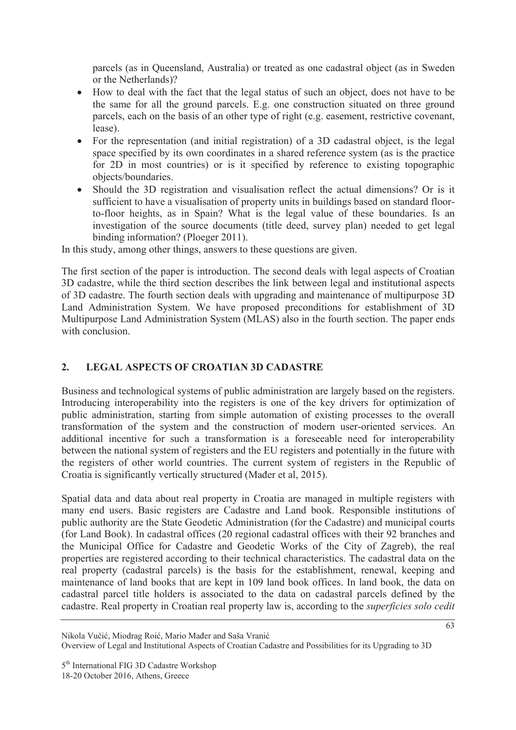parcels (as in Queensland, Australia) or treated as one cadastral object (as in Sweden or the Netherlands)?

- How to deal with the fact that the legal status of such an object, does not have to be the same for all the ground parcels. E.g. one construction situated on three ground parcels, each on the basis of an other type of right (e.g. easement, restrictive covenant, lease).
- For the representation (and initial registration) of a 3D cadastral object, is the legal space specified by its own coordinates in a shared reference system (as is the practice for 2D in most countries) or is it specified by reference to existing topographic objects/boundaries.
- Should the 3D registration and visualisation reflect the actual dimensions? Or is it sufficient to have a visualisation of property units in buildings based on standard floorto-floor heights, as in Spain? What is the legal value of these boundaries. Is an investigation of the source documents (title deed, survey plan) needed to get legal binding information? (Ploeger 2011).

In this study, among other things, answers to these questions are given.

The first section of the paper is introduction. The second deals with legal aspects of Croatian 3D cadastre, while the third section describes the link between legal and institutional aspects of 3D cadastre. The fourth section deals with upgrading and maintenance of multipurpose 3D Land Administration System. We have proposed preconditions for establishment of 3D Multipurpose Land Administration System (MLAS) also in the fourth section. The paper ends with conclusion

## **2. LEGAL ASPECTS OF CROATIAN 3D CADASTRE**

Business and technological systems of public administration are largely based on the registers. Introducing interoperability into the registers is one of the key drivers for optimization of public administration, starting from simple automation of existing processes to the overall transformation of the system and the construction of modern user-oriented services. An additional incentive for such a transformation is a foreseeable need for interoperability between the national system of registers and the EU registers and potentially in the future with the registers of other world countries. The current system of registers in the Republic of Croatia is significantly vertically structured (Mader et al, 2015).

Spatial data and data about real property in Croatia are managed in multiple registers with many end users. Basic registers are Cadastre and Land book. Responsible institutions of public authority are the State Geodetic Administration (for the Cadastre) and municipal courts (for Land Book). In cadastral offices (20 regional cadastral offices with their 92 branches and the Municipal Office for Cadastre and Geodetic Works of the City of Zagreb), the real properties are registered according to their technical characteristics. The cadastral data on the real property (cadastral parcels) is the basis for the establishment, renewal, keeping and maintenance of land books that are kept in 109 land book offices. In land book, the data on cadastral parcel title holders is associated to the data on cadastral parcels defined by the cadastre. Real property in Croatian real property law is, according to the *superficies solo cedit*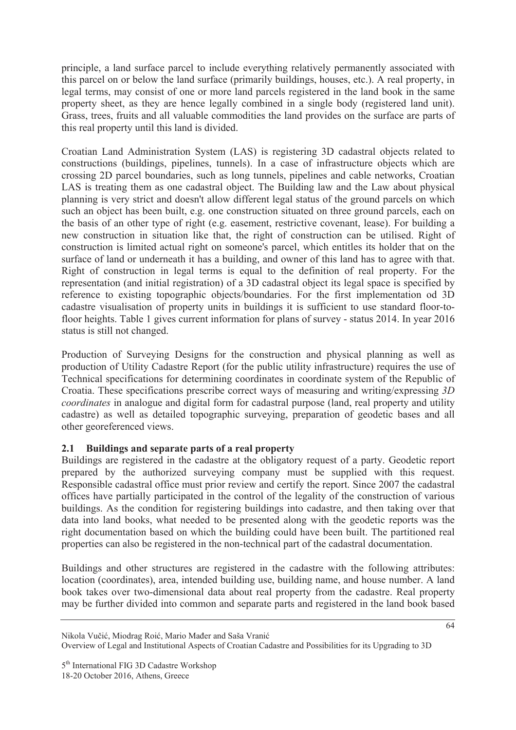principle, a land surface parcel to include everything relatively permanently associated with this parcel on or below the land surface (primarily buildings, houses, etc.). A real property, in legal terms, may consist of one or more land parcels registered in the land book in the same property sheet, as they are hence legally combined in a single body (registered land unit). Grass, trees, fruits and all valuable commodities the land provides on the surface are parts of this real property until this land is divided.

Croatian Land Administration System (LAS) is registering 3D cadastral objects related to constructions (buildings, pipelines, tunnels). In a case of infrastructure objects which are crossing 2D parcel boundaries, such as long tunnels, pipelines and cable networks, Croatian LAS is treating them as one cadastral object. The Building law and the Law about physical planning is very strict and doesn't allow different legal status of the ground parcels on which such an object has been built, e.g. one construction situated on three ground parcels, each on the basis of an other type of right (e.g. easement, restrictive covenant, lease). For building a new construction in situation like that, the right of construction can be utilised. Right of construction is limited actual right on someone's parcel, which entitles its holder that on the surface of land or underneath it has a building, and owner of this land has to agree with that. Right of construction in legal terms is equal to the definition of real property. For the representation (and initial registration) of a 3D cadastral object its legal space is specified by reference to existing topographic objects/boundaries. For the first implementation od 3D cadastre visualisation of property units in buildings it is sufficient to use standard floor-tofloor heights. Table 1 gives current information for plans of survey - status 2014. In year 2016 status is still not changed.

Production of Surveying Designs for the construction and physical planning as well as production of Utility Cadastre Report (for the public utility infrastructure) requires the use of Technical specifications for determining coordinates in coordinate system of the Republic of Croatia. These specifications prescribe correct ways of measuring and writing/expressing *3D coordinates* in analogue and digital form for cadastral purpose (land, real property and utility cadastre) as well as detailed topographic surveying, preparation of geodetic bases and all other georeferenced views.

## **2.1 Buildings and separate parts of a real property**

Buildings are registered in the cadastre at the obligatory request of a party. Geodetic report prepared by the authorized surveying company must be supplied with this request. Responsible cadastral office must prior review and certify the report. Since 2007 the cadastral offices have partially participated in the control of the legality of the construction of various buildings. As the condition for registering buildings into cadastre, and then taking over that data into land books, what needed to be presented along with the geodetic reports was the right documentation based on which the building could have been built. The partitioned real properties can also be registered in the non-technical part of the cadastral documentation.

Buildings and other structures are registered in the cadastre with the following attributes: location (coordinates), area, intended building use, building name, and house number. A land book takes over two-dimensional data about real property from the cadastre. Real property may be further divided into common and separate parts and registered in the land book based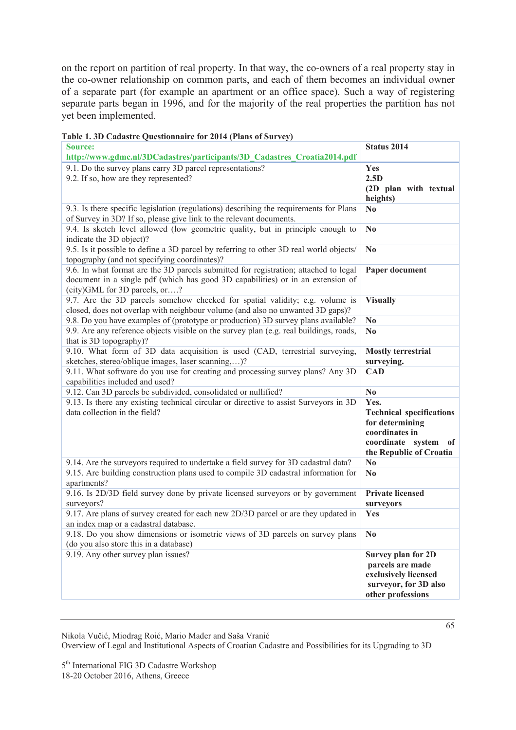on the report on partition of real property. In that way, the co-owners of a real property stay in the co-owner relationship on common parts, and each of them becomes an individual owner of a separate part (for example an apartment or an office space). Such a way of registering separate parts began in 1996, and for the majority of the real properties the partition has not yet been implemented.

| <b>Source:</b>                                                                                                                                                                                           | Status 2014                                                                                                                          |
|----------------------------------------------------------------------------------------------------------------------------------------------------------------------------------------------------------|--------------------------------------------------------------------------------------------------------------------------------------|
| http://www.gdmc.nl/3DCadastres/participants/3D_Cadastres_Croatia2014.pdf                                                                                                                                 |                                                                                                                                      |
| 9.1. Do the survey plans carry 3D parcel representations?                                                                                                                                                | Yes                                                                                                                                  |
| 9.2. If so, how are they represented?                                                                                                                                                                    | 2.5D<br>(2D plan with textual<br>heights)                                                                                            |
| 9.3. Is there specific legislation (regulations) describing the requirements for Plans<br>of Survey in 3D? If so, please give link to the relevant documents.                                            | N <sub>0</sub>                                                                                                                       |
| 9.4. Is sketch level allowed (low geometric quality, but in principle enough to<br>indicate the 3D object)?                                                                                              | N <sub>0</sub>                                                                                                                       |
| 9.5. Is it possible to define a 3D parcel by referring to other 3D real world objects/<br>topography (and not specifying coordinates)?                                                                   | N <sub>0</sub>                                                                                                                       |
| 9.6. In what format are the 3D parcels submitted for registration; attached to legal<br>document in a single pdf (which has good 3D capabilities) or in an extension of<br>(city)GML for 3D parcels, or? | Paper document                                                                                                                       |
| 9.7. Are the 3D parcels somehow checked for spatial validity; e.g. volume is<br>closed, does not overlap with neighbour volume (and also no unwanted 3D gaps)?                                           | <b>Visually</b>                                                                                                                      |
| 9.8. Do you have examples of (prototype or production) 3D survey plans available?                                                                                                                        | N <sub>0</sub>                                                                                                                       |
| 9.9. Are any reference objects visible on the survey plan (e.g. real buildings, roads,<br>that is 3D topography)?                                                                                        | N <sub>0</sub>                                                                                                                       |
| 9.10. What form of 3D data acquisition is used (CAD, terrestrial surveying,<br>sketches, stereo/oblique images, laser scanning,)?                                                                        | <b>Mostly terrestrial</b><br>surveying.                                                                                              |
| 9.11. What software do you use for creating and processing survey plans? Any 3D<br>capabilities included and used?                                                                                       | <b>CAD</b>                                                                                                                           |
| 9.12. Can 3D parcels be subdivided, consolidated or nullified?                                                                                                                                           | $\mathbf{N}\mathbf{0}$                                                                                                               |
| 9.13. Is there any existing technical circular or directive to assist Surveyors in 3D<br>data collection in the field?                                                                                   | Yes.<br><b>Technical specifications</b><br>for determining<br>coordinates in<br>coordinate system<br>- of<br>the Republic of Croatia |
| 9.14. Are the surveyors required to undertake a field survey for 3D cadastral data?                                                                                                                      | No                                                                                                                                   |
| 9.15. Are building construction plans used to compile 3D cadastral information for<br>apartments?                                                                                                        | $\mathbf{N}\mathbf{0}$                                                                                                               |
| 9.16. Is 2D/3D field survey done by private licensed surveyors or by government<br>surveyors?                                                                                                            | <b>Private licensed</b><br>surveyors                                                                                                 |
| 9.17. Are plans of survey created for each new 2D/3D parcel or are they updated in<br>an index map or a cadastral database.                                                                              | Yes                                                                                                                                  |
| 9.18. Do you show dimensions or isometric views of 3D parcels on survey plans<br>(do you also store this in a database)                                                                                  | N <sub>0</sub>                                                                                                                       |
| 9.19. Any other survey plan issues?                                                                                                                                                                      | Survey plan for 2D<br>parcels are made<br>exclusively licensed<br>surveyor, for 3D also<br>other professions                         |

**Table 1. 3D Cadastre Questionnaire for 2014 (Plans of Survey)** 

Nikola Vučić, Miodrag Roić, Mario Mađer and Saša Vranić Overview of Legal and Institutional Aspects of Croatian Cadastre and Possibilities for its Upgrading to 3D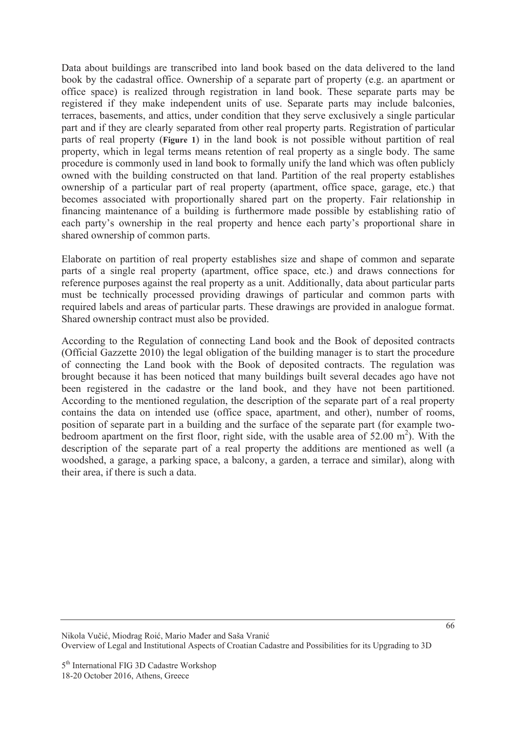Data about buildings are transcribed into land book based on the data delivered to the land book by the cadastral office. Ownership of a separate part of property (e.g. an apartment or office space) is realized through registration in land book. These separate parts may be registered if they make independent units of use. Separate parts may include balconies, terraces, basements, and attics, under condition that they serve exclusively a single particular part and if they are clearly separated from other real property parts. Registration of particular parts of real property (**Figure 1**) in the land book is not possible without partition of real property, which in legal terms means retention of real property as a single body. The same procedure is commonly used in land book to formally unify the land which was often publicly owned with the building constructed on that land. Partition of the real property establishes ownership of a particular part of real property (apartment, office space, garage, etc.) that becomes associated with proportionally shared part on the property. Fair relationship in financing maintenance of a building is furthermore made possible by establishing ratio of each party's ownership in the real property and hence each party's proportional share in shared ownership of common parts.

Elaborate on partition of real property establishes size and shape of common and separate parts of a single real property (apartment, office space, etc.) and draws connections for reference purposes against the real property as a unit. Additionally, data about particular parts must be technically processed providing drawings of particular and common parts with required labels and areas of particular parts. These drawings are provided in analogue format. Shared ownership contract must also be provided.

According to the Regulation of connecting Land book and the Book of deposited contracts (Official Gazzette 2010) the legal obligation of the building manager is to start the procedure of connecting the Land book with the Book of deposited contracts. The regulation was brought because it has been noticed that many buildings built several decades ago have not been registered in the cadastre or the land book, and they have not been partitioned. According to the mentioned regulation, the description of the separate part of a real property contains the data on intended use (office space, apartment, and other), number of rooms, position of separate part in a building and the surface of the separate part (for example twobedroom apartment on the first floor, right side, with the usable area of  $52.00 \text{ m}^2$ ). With the description of the separate part of a real property the additions are mentioned as well (a woodshed, a garage, a parking space, a balcony, a garden, a terrace and similar), along with their area, if there is such a data.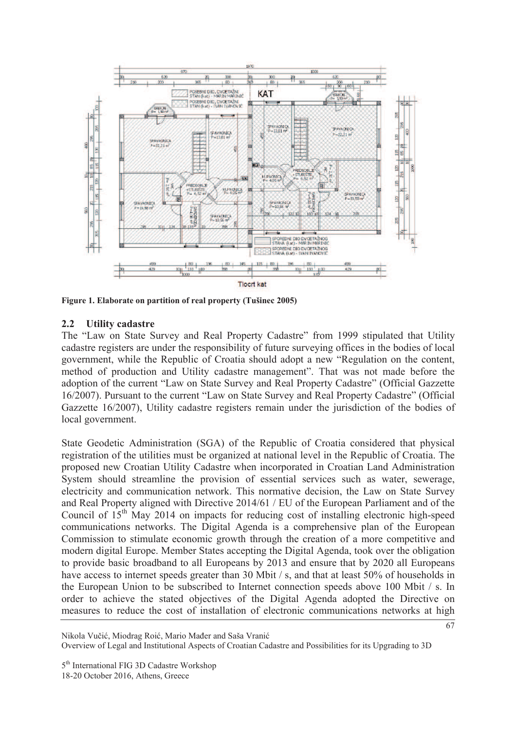

**Figure 1. Elaborate on partition of real property (Tušinec 2005)** 

#### **2.2 Utility cadastre**

The "Law on State Survey and Real Property Cadastre" from 1999 stipulated that Utility cadastre registers are under the responsibility of future surveying offices in the bodies of local government, while the Republic of Croatia should adopt a new "Regulation on the content, method of production and Utility cadastre management". That was not made before the adoption of the current "Law on State Survey and Real Property Cadastre" (Official Gazzette 16/2007). Pursuant to the current "Law on State Survey and Real Property Cadastre" (Official Gazzette 16/2007), Utility cadastre registers remain under the jurisdiction of the bodies of local government.

State Geodetic Administration (SGA) of the Republic of Croatia considered that physical registration of the utilities must be organized at national level in the Republic of Croatia. The proposed new Croatian Utility Cadastre when incorporated in Croatian Land Administration System should streamline the provision of essential services such as water, sewerage, electricity and communication network. This normative decision, the Law on State Survey and Real Property aligned with Directive 2014/61 / EU of the European Parliament and of the Council of  $15<sup>th</sup>$  May 2014 on impacts for reducing cost of installing electronic high-speed communications networks. The Digital Agenda is a comprehensive plan of the European Commission to stimulate economic growth through the creation of a more competitive and modern digital Europe. Member States accepting the Digital Agenda, took over the obligation to provide basic broadband to all Europeans by 2013 and ensure that by 2020 all Europeans have access to internet speeds greater than 30 Mbit / s, and that at least 50% of households in the European Union to be subscribed to Internet connection speeds above 100 Mbit / s. In order to achieve the stated objectives of the Digital Agenda adopted the Directive on measures to reduce the cost of installation of electronic communications networks at high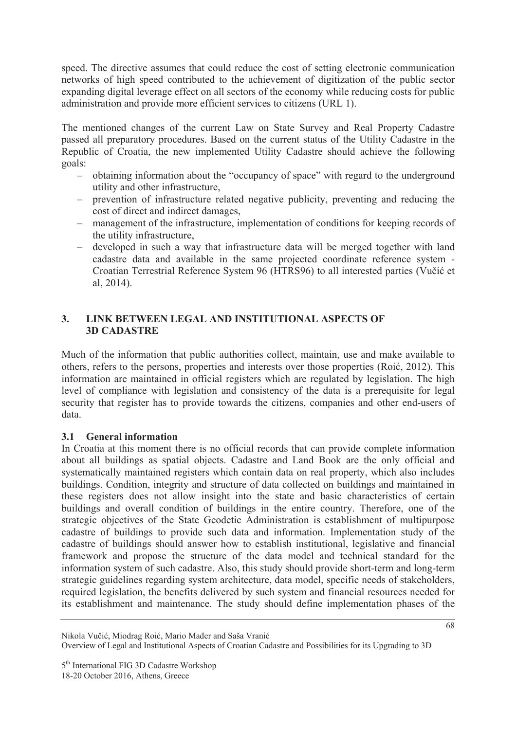speed. The directive assumes that could reduce the cost of setting electronic communication networks of high speed contributed to the achievement of digitization of the public sector expanding digital leverage effect on all sectors of the economy while reducing costs for public administration and provide more efficient services to citizens (URL 1).

The mentioned changes of the current Law on State Survey and Real Property Cadastre passed all preparatory procedures. Based on the current status of the Utility Cadastre in the Republic of Croatia, the new implemented Utility Cadastre should achieve the following goals:

- obtaining information about the "occupancy of space" with regard to the underground utility and other infrastructure,
- prevention of infrastructure related negative publicity, preventing and reducing the cost of direct and indirect damages,
- management of the infrastructure, implementation of conditions for keeping records of the utility infrastructure,
- developed in such a way that infrastructure data will be merged together with land cadastre data and available in the same projected coordinate reference system - Croatian Terrestrial Reference System 96 (HTRS96) to all interested parties (Vučić et al, 2014).

### **3. LINK BETWEEN LEGAL AND INSTITUTIONAL ASPECTS OF 3D CADASTRE**

Much of the information that public authorities collect, maintain, use and make available to others, refers to the persons, properties and interests over those properties (Roić, 2012). This information are maintained in official registers which are regulated by legislation. The high level of compliance with legislation and consistency of the data is a prerequisite for legal security that register has to provide towards the citizens, companies and other end-users of data.

### **3.1 General information**

In Croatia at this moment there is no official records that can provide complete information about all buildings as spatial objects. Cadastre and Land Book are the only official and systematically maintained registers which contain data on real property, which also includes buildings. Condition, integrity and structure of data collected on buildings and maintained in these registers does not allow insight into the state and basic characteristics of certain buildings and overall condition of buildings in the entire country. Therefore, one of the strategic objectives of the State Geodetic Administration is establishment of multipurpose cadastre of buildings to provide such data and information. Implementation study of the cadastre of buildings should answer how to establish institutional, legislative and financial framework and propose the structure of the data model and technical standard for the information system of such cadastre. Also, this study should provide short-term and long-term strategic guidelines regarding system architecture, data model, specific needs of stakeholders, required legislation, the benefits delivered by such system and financial resources needed for its establishment and maintenance. The study should define implementation phases of the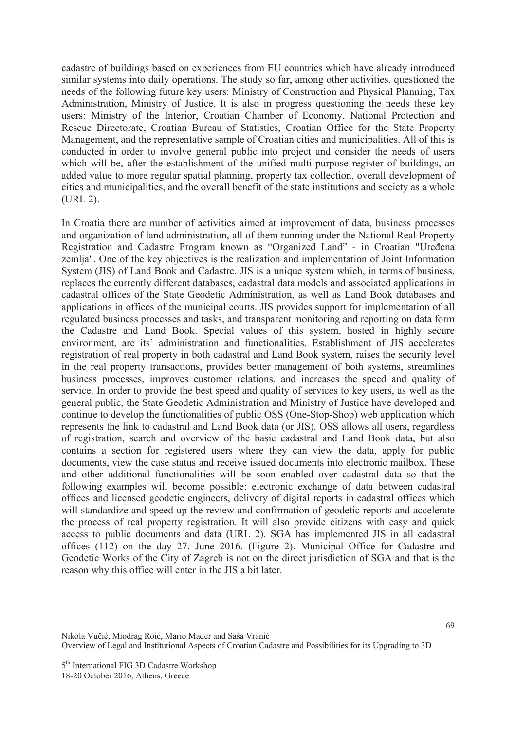cadastre of buildings based on experiences from EU countries which have already introduced similar systems into daily operations. The study so far, among other activities, questioned the needs of the following future key users: Ministry of Construction and Physical Planning, Tax Administration, Ministry of Justice. It is also in progress questioning the needs these key users: Ministry of the Interior, Croatian Chamber of Economy, National Protection and Rescue Directorate, Croatian Bureau of Statistics, Croatian Office for the State Property Management, and the representative sample of Croatian cities and municipalities. All of this is conducted in order to involve general public into project and consider the needs of users which will be, after the establishment of the unified multi-purpose register of buildings, an added value to more regular spatial planning, property tax collection, overall development of cities and municipalities, and the overall benefit of the state institutions and society as a whole (URL 2).

In Croatia there are number of activities aimed at improvement of data, business processes and organization of land administration, all of them running under the National Real Property Registration and Cadastre Program known as "Organized Land" - in Croatian "Uređena zemlja". One of the key objectives is the realization and implementation of Joint Information System (JIS) of Land Book and Cadastre. JIS is a unique system which, in terms of business, replaces the currently different databases, cadastral data models and associated applications in cadastral offices of the State Geodetic Administration, as well as Land Book databases and applications in offices of the municipal courts. JIS provides support for implementation of all regulated business processes and tasks, and transparent monitoring and reporting on data form the Cadastre and Land Book. Special values of this system, hosted in highly secure environment, are its' administration and functionalities. Establishment of JIS accelerates registration of real property in both cadastral and Land Book system, raises the security level in the real property transactions, provides better management of both systems, streamlines business processes, improves customer relations, and increases the speed and quality of service. In order to provide the best speed and quality of services to key users, as well as the general public, the State Geodetic Administration and Ministry of Justice have developed and continue to develop the functionalities of public OSS (One-Stop-Shop) web application which represents the link to cadastral and Land Book data (or JIS). OSS allows all users, regardless of registration, search and overview of the basic cadastral and Land Book data, but also contains a section for registered users where they can view the data, apply for public documents, view the case status and receive issued documents into electronic mailbox. These and other additional functionalities will be soon enabled over cadastral data so that the following examples will become possible: electronic exchange of data between cadastral offices and licensed geodetic engineers, delivery of digital reports in cadastral offices which will standardize and speed up the review and confirmation of geodetic reports and accelerate the process of real property registration. It will also provide citizens with easy and quick access to public documents and data (URL 2). SGA has implemented JIS in all cadastral offices (112) on the day 27. June 2016. (Figure 2). Municipal Office for Cadastre and Geodetic Works of the City of Zagreb is not on the direct jurisdiction of SGA and that is the reason why this office will enter in the JIS a bit later.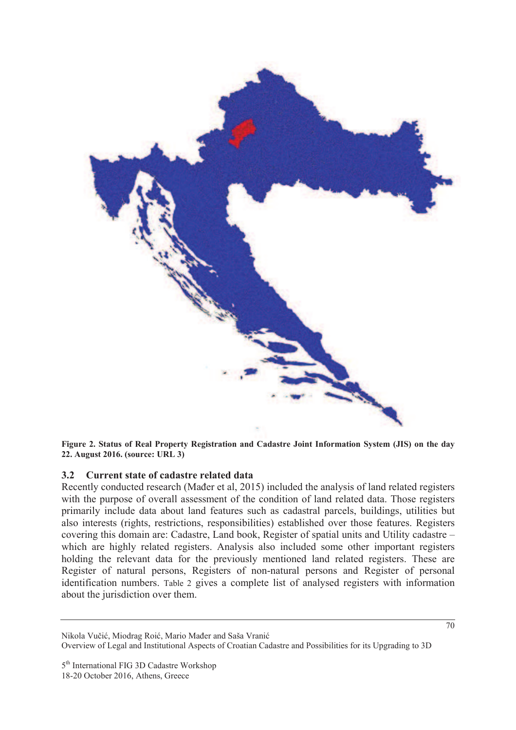

**Figure 2. Status of Real Property Registration and Cadastre Joint Information System (JIS) on the day 22. August 2016. (source: URL 3)** 

#### **3.2 Current state of cadastre related data**

Recently conducted research (Mader et al, 2015) included the analysis of land related registers with the purpose of overall assessment of the condition of land related data. Those registers primarily include data about land features such as cadastral parcels, buildings, utilities but also interests (rights, restrictions, responsibilities) established over those features. Registers covering this domain are: Cadastre, Land book, Register of spatial units and Utility cadastre – which are highly related registers. Analysis also included some other important registers holding the relevant data for the previously mentioned land related registers. These are Register of natural persons, Registers of non-natural persons and Register of personal identification numbers. Table 2 gives a complete list of analysed registers with information about the jurisdiction over them.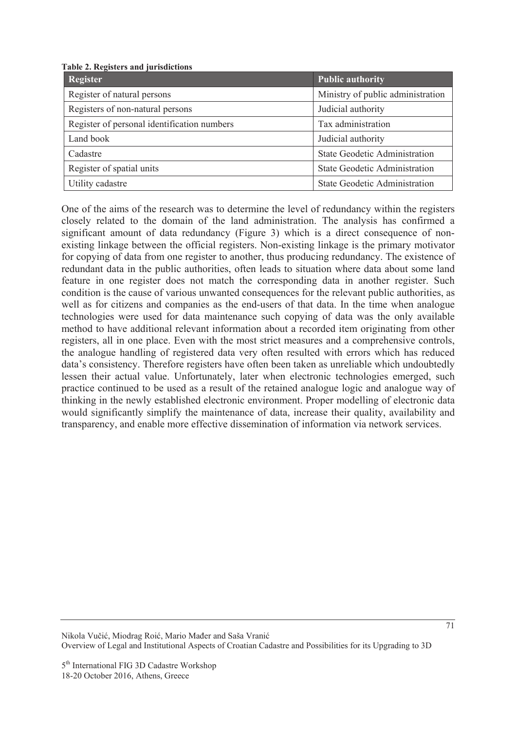**Table 2. Registers and jurisdictions** 

| Register                                    | <b>Public authority</b>              |
|---------------------------------------------|--------------------------------------|
| Register of natural persons                 | Ministry of public administration    |
| Registers of non-natural persons            | Judicial authority                   |
| Register of personal identification numbers | Tax administration                   |
| Land book                                   | Judicial authority                   |
| Cadastre                                    | <b>State Geodetic Administration</b> |
| Register of spatial units                   | <b>State Geodetic Administration</b> |
| Utility cadastre                            | <b>State Geodetic Administration</b> |

One of the aims of the research was to determine the level of redundancy within the registers closely related to the domain of the land administration. The analysis has confirmed a significant amount of data redundancy (Figure 3) which is a direct consequence of nonexisting linkage between the official registers. Non-existing linkage is the primary motivator for copying of data from one register to another, thus producing redundancy. The existence of redundant data in the public authorities, often leads to situation where data about some land feature in one register does not match the corresponding data in another register. Such condition is the cause of various unwanted consequences for the relevant public authorities, as well as for citizens and companies as the end-users of that data. In the time when analogue technologies were used for data maintenance such copying of data was the only available method to have additional relevant information about a recorded item originating from other registers, all in one place. Even with the most strict measures and a comprehensive controls, the analogue handling of registered data very often resulted with errors which has reduced data's consistency. Therefore registers have often been taken as unreliable which undoubtedly lessen their actual value. Unfortunately, later when electronic technologies emerged, such practice continued to be used as a result of the retained analogue logic and analogue way of thinking in the newly established electronic environment. Proper modelling of electronic data would significantly simplify the maintenance of data, increase their quality, availability and transparency, and enable more effective dissemination of information via network services.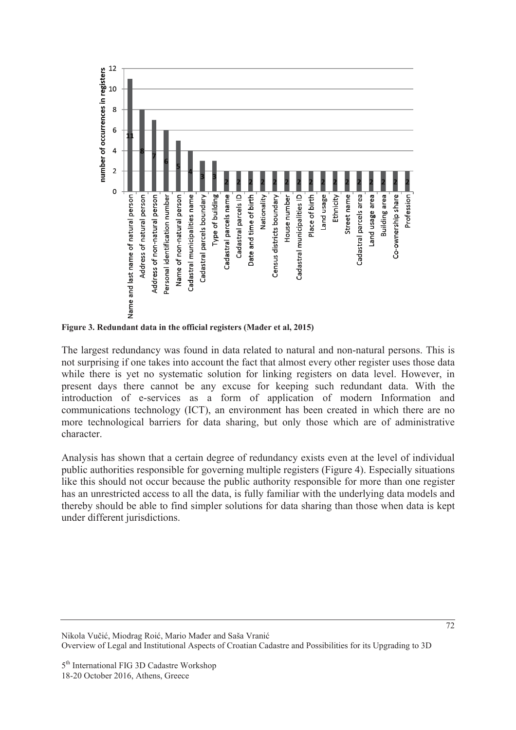

Figure 3. Redundant data in the official registers (Mader et al, 2015)

The largest redundancy was found in data related to natural and non-natural persons. This is not surprising if one takes into account the fact that almost every other register uses those data while there is yet no systematic solution for linking registers on data level. However, in present days there cannot be any excuse for keeping such redundant data. With the introduction of e-services as a form of application of modern Information and communications technology (ICT), an environment has been created in which there are no more technological barriers for data sharing, but only those which are of administrative character.

Analysis has shown that a certain degree of redundancy exists even at the level of individual public authorities responsible for governing multiple registers (Figure 4). Especially situations like this should not occur because the public authority responsible for more than one register has an unrestricted access to all the data, is fully familiar with the underlying data models and thereby should be able to find simpler solutions for data sharing than those when data is kept under different jurisdictions.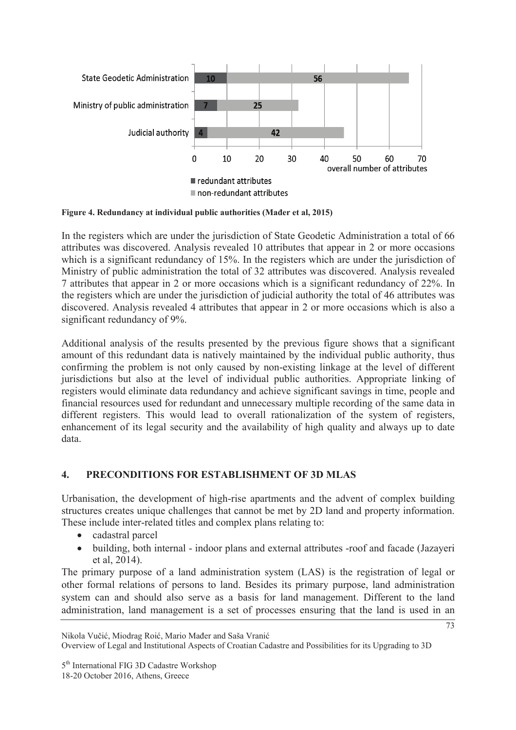

Figure 4. Redundancy at individual public authorities (Mader et al, 2015)

In the registers which are under the jurisdiction of State Geodetic Administration a total of 66 attributes was discovered. Analysis revealed 10 attributes that appear in 2 or more occasions which is a significant redundancy of 15%. In the registers which are under the jurisdiction of Ministry of public administration the total of 32 attributes was discovered. Analysis revealed 7 attributes that appear in 2 or more occasions which is a significant redundancy of 22%. In the registers which are under the jurisdiction of judicial authority the total of 46 attributes was discovered. Analysis revealed 4 attributes that appear in 2 or more occasions which is also a significant redundancy of 9%.

Additional analysis of the results presented by the previous figure shows that a significant amount of this redundant data is natively maintained by the individual public authority, thus confirming the problem is not only caused by non-existing linkage at the level of different jurisdictions but also at the level of individual public authorities. Appropriate linking of registers would eliminate data redundancy and achieve significant savings in time, people and financial resources used for redundant and unnecessary multiple recording of the same data in different registers. This would lead to overall rationalization of the system of registers, enhancement of its legal security and the availability of high quality and always up to date data.

## **4. PRECONDITIONS FOR ESTABLISHMENT OF 3D MLAS**

Urbanisation, the development of high-rise apartments and the advent of complex building structures creates unique challenges that cannot be met by 2D land and property information. These include inter-related titles and complex plans relating to:

- cadastral parcel
- building, both internal indoor plans and external attributes -roof and facade (Jazayeri) et al, 2014).

The primary purpose of a land administration system (LAS) is the registration of legal or other formal relations of persons to land. Besides its primary purpose, land administration system can and should also serve as a basis for land management. Different to the land administration, land management is a set of processes ensuring that the land is used in an

Overview of Legal and Institutional Aspects of Croatian Cadastre and Possibilities for its Upgrading to 3D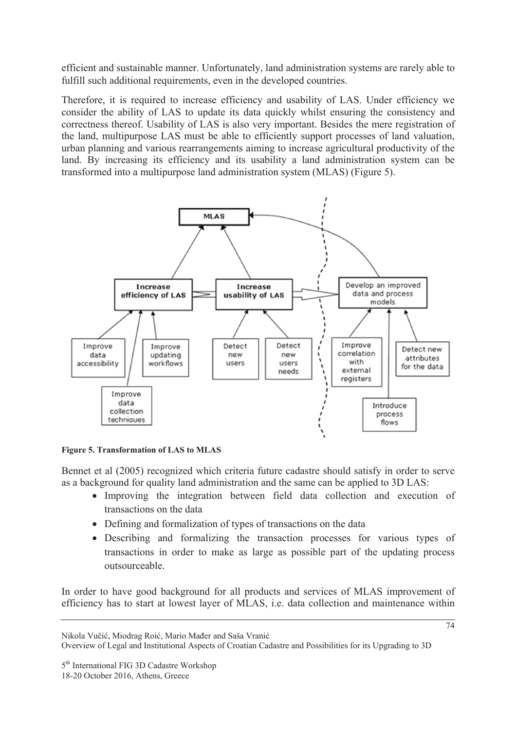efficient and sustainable manner. Unfortunately, land administration systems are rarely able to fulfill such additional requirements, even in the developed countries.

Therefore, it is required to increase efficiency and usability of LAS. Under efficiency we consider the ability of LAS to update its data quickly whilst ensuring the consistency and correctness thereof. Usability of LAS is also very important. Besides the mere registration of the land, multipurpose LAS must be able to efficiently support processes of land valuation, urban planning and various rearrangements aiming to increase agricultural productivity of the land. By increasing its efficiency and its usability a land administration system can be transformed into a multipurpose land administration system (MLAS) (Figure 5).



**Figure 5. Transformation of LAS to MLAS** 

Bennet et al (2005) recognized which criteria future cadastre should satisfy in order to serve as a background for quality land administration and the same can be applied to 3D LAS:

- Improving the integration between field data collection and execution of transactions on the data
- Defining and formalization of types of transactions on the data
- Describing and formalizing the transaction processes for various types of transactions in order to make as large as possible part of the updating process outsourceable.

In order to have good background for all products and services of MLAS improvement of efficiency has to start at lowest layer of MLAS, i.e. data collection and maintenance within

Nikola Vučić, Miodrag Roić, Mario Mađer and Saša Vranić

Overview of Legal and Institutional Aspects of Croatian Cadastre and Possibilities for its Upgrading to 3D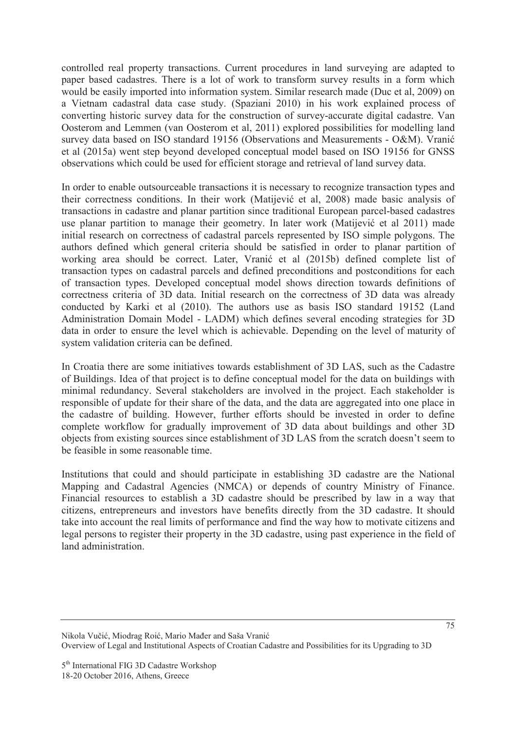controlled real property transactions. Current procedures in land surveying are adapted to paper based cadastres. There is a lot of work to transform survey results in a form which would be easily imported into information system. Similar research made (Duc et al, 2009) on a Vietnam cadastral data case study. (Spaziani 2010) in his work explained process of converting historic survey data for the construction of survey-accurate digital cadastre. Van Oosterom and Lemmen (van Oosterom et al, 2011) explored possibilities for modelling land survey data based on ISO standard 19156 (Observations and Measurements - O&M). Vranić et al (2015a) went step beyond developed conceptual model based on ISO 19156 for GNSS observations which could be used for efficient storage and retrieval of land survey data.

In order to enable outsourceable transactions it is necessary to recognize transaction types and their correctness conditions. In their work (Matijević et al, 2008) made basic analysis of transactions in cadastre and planar partition since traditional European parcel-based cadastres use planar partition to manage their geometry. In later work (Matijević et al 2011) made initial research on correctness of cadastral parcels represented by ISO simple polygons. The authors defined which general criteria should be satisfied in order to planar partition of working area should be correct. Later, Vranić et al (2015b) defined complete list of transaction types on cadastral parcels and defined preconditions and postconditions for each of transaction types. Developed conceptual model shows direction towards definitions of correctness criteria of 3D data. Initial research on the correctness of 3D data was already conducted by Karki et al (2010). The authors use as basis ISO standard 19152 (Land Administration Domain Model - LADM) which defines several encoding strategies for 3D data in order to ensure the level which is achievable. Depending on the level of maturity of system validation criteria can be defined.

In Croatia there are some initiatives towards establishment of 3D LAS, such as the Cadastre of Buildings. Idea of that project is to define conceptual model for the data on buildings with minimal redundancy. Several stakeholders are involved in the project. Each stakeholder is responsible of update for their share of the data, and the data are aggregated into one place in the cadastre of building. However, further efforts should be invested in order to define complete workflow for gradually improvement of 3D data about buildings and other 3D objects from existing sources since establishment of 3D LAS from the scratch doesn't seem to be feasible in some reasonable time.

Institutions that could and should participate in establishing 3D cadastre are the National Mapping and Cadastral Agencies (NMCA) or depends of country Ministry of Finance. Financial resources to establish a 3D cadastre should be prescribed by law in a way that citizens, entrepreneurs and investors have benefits directly from the 3D cadastre. It should take into account the real limits of performance and find the way how to motivate citizens and legal persons to register their property in the 3D cadastre, using past experience in the field of land administration.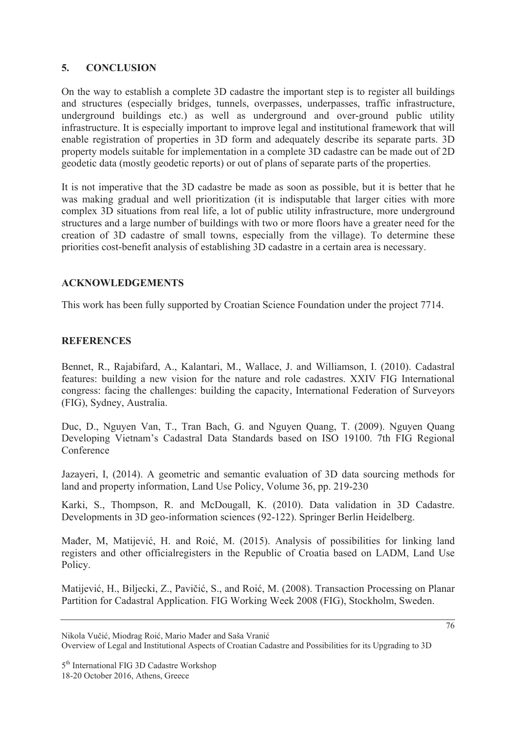#### **5. CONCLUSION**

On the way to establish a complete 3D cadastre the important step is to register all buildings and structures (especially bridges, tunnels, overpasses, underpasses, traffic infrastructure, underground buildings etc.) as well as underground and over-ground public utility infrastructure. It is especially important to improve legal and institutional framework that will enable registration of properties in 3D form and adequately describe its separate parts. 3D property models suitable for implementation in a complete 3D cadastre can be made out of 2D geodetic data (mostly geodetic reports) or out of plans of separate parts of the properties.

It is not imperative that the 3D cadastre be made as soon as possible, but it is better that he was making gradual and well prioritization (it is indisputable that larger cities with more complex 3D situations from real life, a lot of public utility infrastructure, more underground structures and a large number of buildings with two or more floors have a greater need for the creation of 3D cadastre of small towns, especially from the village). To determine these priorities cost-benefit analysis of establishing 3D cadastre in a certain area is necessary.

### **ACKNOWLEDGEMENTS**

This work has been fully supported by Croatian Science Foundation under the project 7714.

### **REFERENCES**

Bennet, R., Rajabifard, A., Kalantari, M., Wallace, J. and Williamson, I. (2010). Cadastral features: building a new vision for the nature and role cadastres. XXIV FIG International congress: facing the challenges: building the capacity, International Federation of Surveyors (FIG), Sydney, Australia.

Duc, D., Nguyen Van, T., Tran Bach, G. and Nguyen Quang, T. (2009). Nguyen Quang Developing Vietnam's Cadastral Data Standards based on ISO 19100. 7th FIG Regional Conference

Jazayeri, I, (2014). A geometric and semantic evaluation of 3D data sourcing methods for land and property information, Land Use Policy, Volume 36, pp. 219-230

Karki, S., Thompson, R. and McDougall, K. (2010). Data validation in 3D Cadastre. Developments in 3D geo-information sciences (92-122). Springer Berlin Heidelberg.

Mađer, M, Matijević, H. and Roić, M. (2015). Analysis of possibilities for linking land registers and other officialregisters in the Republic of Croatia based on LADM, Land Use Policy.

Matijević, H., Biljecki, Z., Pavičić, S., and Roić, M. (2008). Transaction Processing on Planar Partition for Cadastral Application. FIG Working Week 2008 (FIG), Stockholm, Sweden.

Nikola Vučić, Miodrag Roić, Mario Mađer and Saša Vranić Overview of Legal and Institutional Aspects of Croatian Cadastre and Possibilities for its Upgrading to 3D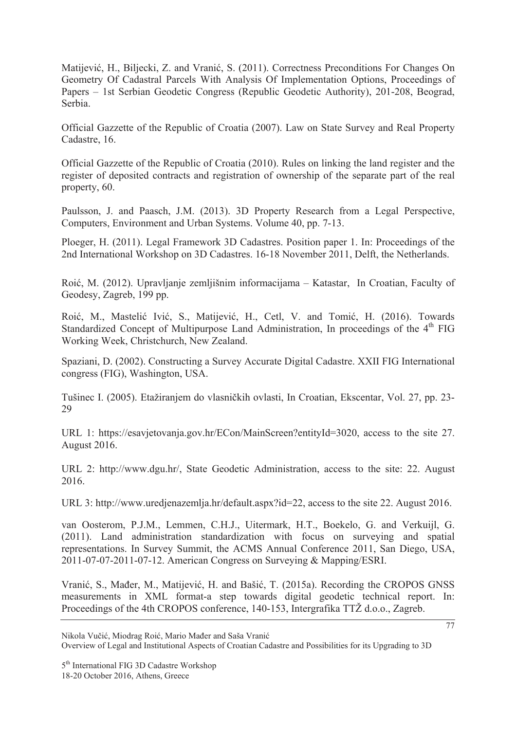Matijević, H., Biljecki, Z. and Vranić, S. (2011). Correctness Preconditions For Changes On Geometry Of Cadastral Parcels With Analysis Of Implementation Options, Proceedings of Papers – 1st Serbian Geodetic Congress (Republic Geodetic Authority), 201-208, Beograd, Serbia.

Official Gazzette of the Republic of Croatia (2007). Law on State Survey and Real Property Cadastre, 16.

Official Gazzette of the Republic of Croatia (2010). Rules on linking the land register and the register of deposited contracts and registration of ownership of the separate part of the real property, 60.

Paulsson, J. and Paasch, J.M. (2013). 3D Property Research from a Legal Perspective, Computers, Environment and Urban Systems. Volume 40, pp. 7-13.

Ploeger, H. (2011). Legal Framework 3D Cadastres. Position paper 1. In: Proceedings of the 2nd International Workshop on 3D Cadastres. 16-18 November 2011, Delft, the Netherlands.

Roić, M. (2012). Upravljanje zemljišnim informacijama – Katastar, In Croatian, Faculty of Geodesy, Zagreb, 199 pp.

Roić, M., Mastelić Ivić, S., Matijević, H., Cetl, V. and Tomić, H. (2016). Towards Standardized Concept of Multipurpose Land Administration, In proceedings of the 4<sup>th</sup> FIG Working Week, Christchurch, New Zealand.

Spaziani, D. (2002). Constructing a Survey Accurate Digital Cadastre. XXII FIG International congress (FIG), Washington, USA.

Tušinec I. (2005). Etažiranjem do vlasničkih ovlasti, In Croatian, Ekscentar, Vol. 27, pp. 23-29

URL 1: https://esavjetovanja.gov.hr/ECon/MainScreen?entityId=3020, access to the site 27. August 2016.

URL 2: http://www.dgu.hr/, State Geodetic Administration, access to the site: 22. August 2016.

URL 3: http://www.uredjenazemlja.hr/default.aspx?id=22, access to the site 22. August 2016.

van Oosterom, P.J.M., Lemmen, C.H.J., Uitermark, H.T., Boekelo, G. and Verkuijl, G. (2011). Land administration standardization with focus on surveying and spatial representations. In Survey Summit, the ACMS Annual Conference 2011, San Diego, USA, 2011-07-07-2011-07-12. American Congress on Surveying & Mapping/ESRI.

Vranić, S., Mađer, M., Matijević, H. and Bašić, T. (2015a). Recording the CROPOS GNSS measurements in XML format-a step towards digital geodetic technical report. In: Proceedings of the 4th CROPOS conference, 140-153, Intergrafika TTŽ d.o.o., Zagreb.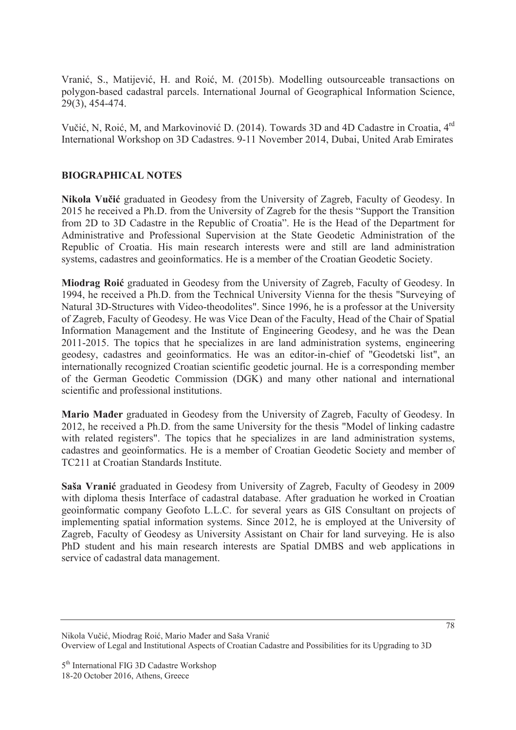Vranić, S., Matijević, H. and Roić, M. (2015b). Modelling outsourceable transactions on polygon-based cadastral parcels. International Journal of Geographical Information Science, 29(3), 454-474.

Vučić, N, Roić, M, and Markovinović D. (2014). Towards 3D and 4D Cadastre in Croatia, 4<sup>rd</sup> International Workshop on 3D Cadastres. 9-11 November 2014, Dubai, United Arab Emirates

#### **BIOGRAPHICAL NOTES**

Nikola Vučić graduated in Geodesy from the University of Zagreb, Faculty of Geodesy. In 2015 he received a Ph.D. from the University of Zagreb for the thesis "Support the Transition from 2D to 3D Cadastre in the Republic of Croatia". He is the Head of the Department for Administrative and Professional Supervision at the State Geodetic Administration of the Republic of Croatia. His main research interests were and still are land administration systems, cadastres and geoinformatics. He is a member of the Croatian Geodetic Society.

**Miodrag Roić** graduated in Geodesy from the University of Zagreb, Faculty of Geodesy. In 1994, he received a Ph.D. from the Technical University Vienna for the thesis "Surveying of Natural 3D-Structures with Video-theodolites". Since 1996, he is a professor at the University of Zagreb, Faculty of Geodesy. He was Vice Dean of the Faculty, Head of the Chair of Spatial Information Management and the Institute of Engineering Geodesy, and he was the Dean 2011-2015. The topics that he specializes in are land administration systems, engineering geodesy, cadastres and geoinformatics. He was an editor-in-chief of "Geodetski list", an internationally recognized Croatian scientific geodetic journal. He is a corresponding member of the German Geodetic Commission (DGK) and many other national and international scientific and professional institutions.

**Mario Mader** graduated in Geodesy from the University of Zagreb, Faculty of Geodesy. In 2012, he received a Ph.D. from the same University for the thesis "Model of linking cadastre with related registers". The topics that he specializes in are land administration systems, cadastres and geoinformatics. He is a member of Croatian Geodetic Society and member of TC211 at Croatian Standards Institute.

Saša Vranić graduated in Geodesy from University of Zagreb, Faculty of Geodesy in 2009 with diploma thesis Interface of cadastral database. After graduation he worked in Croatian geoinformatic company Geofoto L.L.C. for several years as GIS Consultant on projects of implementing spatial information systems. Since 2012, he is employed at the University of Zagreb, Faculty of Geodesy as University Assistant on Chair for land surveying. He is also PhD student and his main research interests are Spatial DMBS and web applications in service of cadastral data management.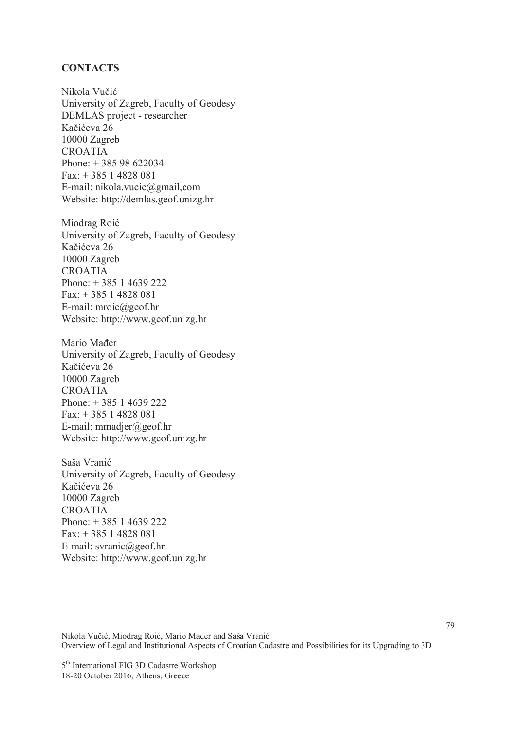#### **CONTACTS**

Nikola Vučić University of Zagreb, Faculty of Geodesy DEMLAS project - researcher Kačićeva 26 10000 Zagreb CROATIA Phone: + 385 98 622034 Fax: + 385 1 4828 081 E-mail: nikola.vucic@gmail,com Website: http://demlas.geof.unizg.hr

Miodrag Roić University of Zagreb, Faculty of Geodesy Kačićeva 26 10000 Zagreb CROATIA Phone: + 385 1 4639 222 Fax: + 385 1 4828 081 E-mail: mroic@geof.hr Website: http://www.geof.unizg.hr

Mario Mađer University of Zagreb, Faculty of Geodesy Kačićeva 26 10000 Zagreb CROATIA Phone: + 385 1 4639 222 Fax: + 385 1 4828 081 E-mail: mmadjer@geof.hr Website: http://www.geof.unizg.hr

Saša Vranić University of Zagreb, Faculty of Geodesy Kačićeva 26 10000 Zagreb CROATIA Phone: + 385 1 4639 222 Fax: + 385 1 4828 081 E-mail: svranic@geof.hr Website: http://www.geof.unizg.hr